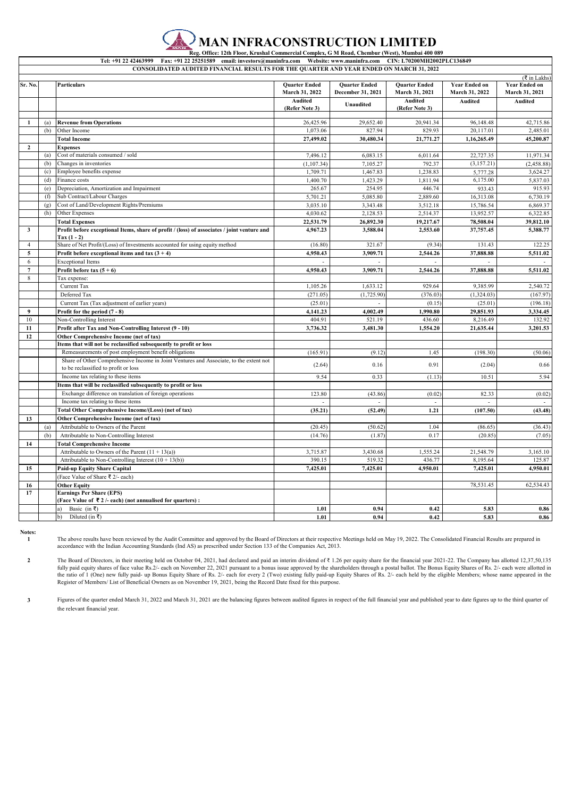

 **Reg. Office: 12th Floor, Krushal Commercial Complex, G M Road, Chembur (West), Mumbai 400 089** Tel: +91 22 42463999 Fax: +91 22 25251589 email: investors@maninfra.com Website: www.maninfra.com **CONSOLIDATED AUDITED FINANCIAL RESULTS FOR THE QUARTER AND YEAR ENDED ON MARCH 31, 2022**

| Sr. No.                 |     | <b>Particulars</b>                                                                                        | <b>Ouarter Ended</b><br>March 31, 2022 | <b>Ouarter Ended</b><br>December 31, 2021 | <b>Ouarter Ended</b><br>March 31, 2021 | <b>Year Ended on</b><br>March 31, 2022 | ( ₹ in Lakhs)<br><b>Year Ended on</b><br>March 31, 2021 |
|-------------------------|-----|-----------------------------------------------------------------------------------------------------------|----------------------------------------|-------------------------------------------|----------------------------------------|----------------------------------------|---------------------------------------------------------|
|                         |     |                                                                                                           | Audited<br>(Refer Note 3)              | Unaudited                                 | Audited<br>(Refer Note 3)              | Audited                                | Audited                                                 |
| 1                       |     |                                                                                                           |                                        |                                           |                                        |                                        |                                                         |
|                         | (a) | <b>Revenue from Operations</b>                                                                            | 26,425.96<br>1,073.06                  | 29,652.40<br>827.94                       | 20,941.34                              | 96,148.48<br>20,117.01                 | 42,715.86                                               |
|                         | (b) | Other Income                                                                                              |                                        |                                           | 829.93                                 |                                        | 2,485.01                                                |
|                         |     | <b>Total Income</b>                                                                                       | 27,499.02                              | 30,480.34                                 | 21,771.27                              | 1,16,265.49                            | 45,200.87                                               |
| $\mathbf{2}$            |     | <b>Expenses</b>                                                                                           |                                        |                                           |                                        |                                        |                                                         |
|                         | (a) | Cost of materials consumed / sold                                                                         | 7,496.12                               | 6,083.15                                  | 6,011.64                               | 22,727.35                              | 11,971.34                                               |
|                         | (b) | Changes in inventories                                                                                    | (1, 107.34)                            | 7,105.27                                  | 792.37                                 | (3, 157.21)                            | (2,458.88)                                              |
|                         | (c) | Employee benefits expense                                                                                 | 1,709.71                               | 1,467.83                                  | 1,238.83                               | 5,777.28                               | 3,624.27                                                |
|                         | (d) | Finance costs                                                                                             | 1,400.70                               | 1,423.29                                  | 1,811.94                               | 6,175.00                               | 5,837.03                                                |
|                         | (e) | Depreciation, Amortization and Impairment                                                                 | 265.67                                 | 254.95                                    | 446.74                                 | 933.43                                 | 915.93                                                  |
|                         | (f) | Sub Contract/Labour Charges                                                                               | 5,701.21                               | 5,085.80                                  | 2,889.60                               | 16,313.08                              | 6,730.19                                                |
|                         | (g) | Cost of Land/Development Rights/Premiums                                                                  | 3,035.10                               | 3,343.48                                  | 3,512.18                               | 15,786.54                              | 6,869.37                                                |
|                         | (h) | Other Expenses                                                                                            | 4,030.62                               | 2,128.53                                  | 2,514.37                               | 13,952.57                              | 6,322.85                                                |
|                         |     | <b>Total Expenses</b>                                                                                     | 22,531.79                              | 26,892.30                                 | 19,217.67                              | 78,508.04                              | 39,812.10                                               |
| $\overline{\mathbf{3}}$ |     | Profit before exceptional Items, share of profit / (loss) of associates / joint venture and<br>$Tax(1-2)$ | 4.967.23                               | 3,588.04                                  | 2,553.60                               | 37,757.45                              | 5,388.77                                                |
| $\overline{4}$          |     | Share of Net Profit/(Loss) of Investments accounted for using equity method                               | (16.80)                                | 321.67                                    | (9.34)                                 | 131.43                                 | 122.25                                                  |
| 5                       |     | Profit before exceptional items and tax $(3 + 4)$                                                         | 4,950.43                               | 3,909.71                                  | 2,544.26                               | 37,888.88                              | 5,511.02                                                |
| 6                       |     | <b>Exceptional Items</b>                                                                                  |                                        |                                           |                                        |                                        |                                                         |
| $\boldsymbol{7}$        |     | Profit before tax $(5 + 6)$                                                                               | 4,950.43                               | 3,909.71                                  | 2,544.26                               | 37,888.88                              | 5,511.02                                                |
| 8                       |     | Tax expense:                                                                                              |                                        |                                           |                                        |                                        |                                                         |
|                         |     | Current Tax                                                                                               | 1,105.26                               | 1,633.12                                  | 929.64                                 | 9.385.99                               | 2,540.72                                                |
|                         |     | Deferred Tax                                                                                              | (271.05)                               | (1,725.90)                                | (376.03)                               | (1,324.03)                             | (167.97)                                                |
|                         |     | Current Tax (Tax adjustment of earlier years)                                                             | (25.01)                                |                                           | (0.15)                                 | (25.01)                                | (196.18)                                                |
| $\boldsymbol{9}$        |     | Profit for the period $(7 - 8)$                                                                           | 4,141.23                               | 4,002.49                                  | 1,990.80                               | 29,851.93                              | 3,334.45                                                |
| 10                      |     | Non-Controlling Interest                                                                                  | 404.91                                 | 521.19                                    | 436.60                                 | 8,216.49                               | 132.92                                                  |
| 11                      |     | Profit after Tax and Non-Controlling Interest (9 - 10)                                                    | 3,736.32                               | 3,481.30                                  | 1,554.20                               | 21,635.44                              | 3,201.53                                                |
| 12                      |     | Other Comprehensive Income (net of tax)                                                                   |                                        |                                           |                                        |                                        |                                                         |
|                         |     | Items that will not be reclassified subsequently to profit or loss                                        |                                        |                                           |                                        |                                        |                                                         |
|                         |     | Remeasurements of post employment benefit obligations                                                     | (165.91)                               | (9.12)                                    | 1.45                                   | (198.30)                               | (50.06)                                                 |
|                         |     | Share of Other Comprehensive Income in Joint Ventures and Associate, to the extent not                    |                                        |                                           |                                        |                                        |                                                         |
|                         |     | to be reclassified to profit or loss                                                                      | (2.64)                                 | 0.16                                      | 0.91                                   | (2.04)                                 | 0.66                                                    |
|                         |     | Income tax relating to these items                                                                        | 9.54                                   | 0.33                                      | (1.13)                                 | 10.51                                  | 5.94                                                    |
|                         |     | Items that will be reclassified subsequently to profit or loss                                            |                                        |                                           |                                        |                                        |                                                         |
|                         |     | Exchange difference on translation of foreign operations                                                  | 123.80                                 | (43.86)                                   | (0.02)                                 | 82.33                                  | (0.02)                                                  |
|                         |     | Income tax relating to these items                                                                        |                                        |                                           |                                        |                                        |                                                         |
|                         |     | Total Other Comprehensive Income/(Loss) (net of tax)                                                      | (35.21)                                | (52.49)                                   | 1.21                                   | (107.50)                               | (43.48)                                                 |
| 13                      |     | Other Comprehensive Income (net of tax)                                                                   |                                        |                                           |                                        |                                        |                                                         |
|                         | (a) | Attributable to Owners of the Parent                                                                      | (20.45)                                | (50.62)                                   | 1.04                                   | (86.65)                                | (36.43)                                                 |
|                         | (b) | Attributable to Non-Controlling Interest                                                                  | (14.76)                                | (1.87)                                    | 0.17                                   | (20.85)                                | (7.05)                                                  |
| 14                      |     | <b>Total Comprehensive Income</b>                                                                         |                                        |                                           |                                        |                                        |                                                         |
|                         |     | Attributable to Owners of the Parent $(11 + 13(a))$                                                       | 3,715.87                               | 3,430.68                                  | 1,555.24                               | 21,548.79                              | 3,165.10                                                |
|                         |     | Attributable to Non-Controlling Interest $(10 + 13(b))$                                                   | 390.15                                 | 519.32                                    | 436.77                                 | 8,195.64                               | 125.87                                                  |
| 15                      |     | <b>Paid-up Equity Share Capital</b>                                                                       | 7,425.01                               | 7,425.01                                  | 4,950.01                               | 7,425.01                               | 4.950.01                                                |
|                         |     | (Face Value of Share ₹ 2/- each)                                                                          |                                        |                                           |                                        |                                        |                                                         |
| 16                      |     | <b>Other Equity</b>                                                                                       |                                        |                                           |                                        | 78,531.45                              | 62,534.43                                               |
| 17                      |     | <b>Earnings Per Share (EPS)</b>                                                                           |                                        |                                           |                                        |                                        |                                                         |
|                         |     | (Face Value of ₹2/- each) (not annualised for quarters) :                                                 |                                        |                                           |                                        |                                        |                                                         |
|                         |     | Basic (in ₹)<br>a)                                                                                        | 1.01                                   | 0.94                                      | 0.42                                   | 5.83                                   | 0.86                                                    |
|                         |     | Diluted (in ₹)<br>b)                                                                                      | 1.01                                   | 0.94                                      | 0.42                                   | 5.83                                   | 0.86                                                    |

**Notes: 1**

The above results have been reviewed by the Audit Committee and approved by the Board of Directors at their respective Meetings held on May 19, 2022. The Consolidated Financial Results are prepared in accordance with the Indian Accounting Standards (Ind AS) as prescribed under Section 133 of the Companies Act, 2013.

**2** The Board of Directors, in their meeting held on October 04, 2021, had declared and paid an interim dividend of ₹ 1.26 per equity share for the financial year 2021-22. The Company has allotted 12,37,50,135 fully paid equity shares of face value Rs.2/- each on November 22, 2021 pursuant to a bonus issue approved by the shareholders through a postal ballot. The Bonus Equity Shares of Rs. 2/- each were allotted ir<br>the ratio of

**3** Figures of the quarter ended March 31, 2022 and March 31, 2021 are the balancing figures between audited figures in respect of the full financial year and published year to date figures up to the third quarter of the relevant financial year.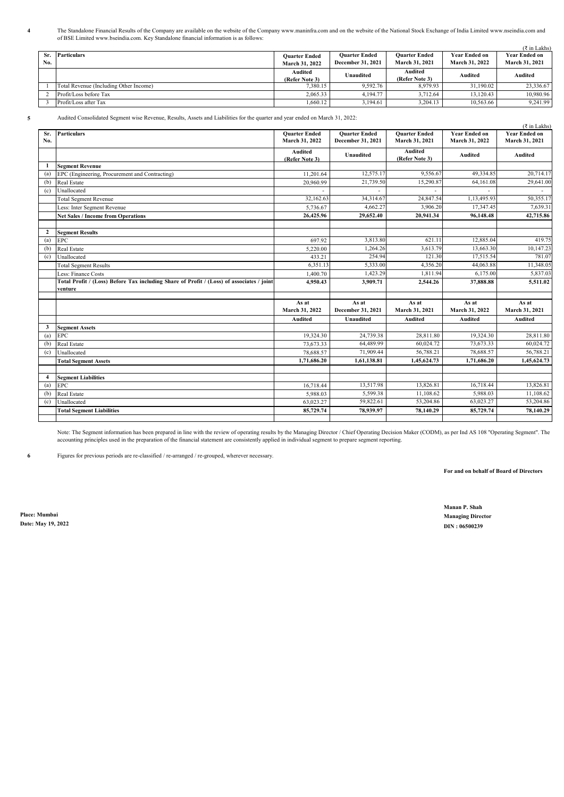The Standalone Financial Results of the Company are available on the website of the Company www.maninfra.com and on the website of the National Stock Exchange of India Limited www.nseindia.com and<br>of BSE Limited www.bseind

|            |                                        |                                               |                                           |                                        |                                               | $(\bar{z}$ in Lakhs)                   |
|------------|----------------------------------------|-----------------------------------------------|-------------------------------------------|----------------------------------------|-----------------------------------------------|----------------------------------------|
| Sr.<br>No. | Particulars                            | <b>Ouarter Ended</b><br><b>March 31, 2022</b> | <b>Ouarter Ended</b><br>December 31, 2021 | <b>Ouarter Ended</b><br>March 31, 2021 | <b>Year Ended on</b><br><b>March 31, 2022</b> | <b>Year Ended on</b><br>March 31, 2021 |
|            |                                        | Audited<br>(Refer Note 3)                     | Unaudited                                 | Audited<br>(Refer Note 3)              | Audited                                       | Audited                                |
|            | Total Revenue (Including Other Income) | 7.380.15                                      | 9.592.76                                  | 8.979.93                               | 31,190.02                                     | 23,336.67                              |
|            | Profit/Loss before Tax                 | 2.065.33                                      | 4,194.77                                  | 3.712.64                               | 13,120.43                                     | 10,980.96                              |
|            | Profit/Loss after Tax                  | 1.660.12                                      | 3.194.61                                  | 3.204.13                               | 10,563.66                                     | 9.241.99                               |

**4**

**5** Audited Consolidated Segment wise Revenue, Results, Assets and Liabilities for the quarter and year ended on March 31, 2022:

|                |                                                                                           |                                        |                                           |                                        |                                        | (₹ in Lakhs)                           |
|----------------|-------------------------------------------------------------------------------------------|----------------------------------------|-------------------------------------------|----------------------------------------|----------------------------------------|----------------------------------------|
| Sr.<br>No.     | <b>Particulars</b>                                                                        | <b>Ouarter Ended</b><br>March 31, 2022 | <b>Ouarter Ended</b><br>December 31, 2021 | <b>Ouarter Ended</b><br>March 31, 2021 | <b>Year Ended on</b><br>March 31, 2022 | <b>Year Ended on</b><br>March 31, 2021 |
|                |                                                                                           | <b>Audited</b><br>(Refer Note 3)       | Unaudited                                 | <b>Audited</b><br>(Refer Note 3)       | Audited                                | Audited                                |
| 1              | <b>Segment Revenue</b>                                                                    |                                        |                                           |                                        |                                        |                                        |
| (a)            | EPC (Engineering, Procurement and Contracting)                                            | 11.201.64                              | 12,575.17                                 | 9,556.67                               | 49,334.85                              | 20,714.17                              |
| (b)            | Real Estate                                                                               | 20,960.99                              | 21,739.50                                 | 15,290.87                              | 64,161.08                              | 29,641.00                              |
| (c)            | Unallocated                                                                               | L                                      |                                           |                                        |                                        | $\sim$                                 |
|                | <b>Total Segment Revenue</b>                                                              | 32,162.63                              | 34,314.67                                 | 24,847.54                              | 1.13.495.93                            | 50,355.17                              |
|                | Less: Inter Segment Revenue                                                               | 5,736.67                               | 4,662.27                                  | 3,906.20                               | 17,347.45                              | 7.639.31                               |
|                | <b>Net Sales / Income from Operations</b>                                                 | 26,425.96                              | 29,652.40                                 | 20,941.34                              | 96,148.48                              | 42,715.86                              |
|                |                                                                                           |                                        |                                           |                                        |                                        |                                        |
| $\mathbf{2}$   | <b>Segment Results</b>                                                                    |                                        |                                           |                                        |                                        |                                        |
| (a)            | EPC                                                                                       | 697.92                                 | 3,813.80                                  | 621.11                                 | 12,885.04                              | 419.75                                 |
| (b)            | Real Estate                                                                               | 5,220.00                               | 1,264.26                                  | 3,613.79                               | 13,663.30                              | 10,147.23                              |
| (c)            | Unallocated                                                                               | 433.21                                 | 254.94                                    | 121.30                                 | 17,515.54                              | 781.07                                 |
|                | <b>Total Segment Results</b>                                                              | 6.351.13                               | 5,333.00                                  | 4,356.20                               | 44,063.88                              | 11,348.05                              |
|                | Less: Finance Costs                                                                       | 1,400.70                               | 1,423.29                                  | 1,811.94                               | 6,175.00                               | 5,837.03                               |
|                | Total Profit / (Loss) Before Tax including Share of Profit / (Loss) of associates / joint | 4,950.43                               | 3,909.71                                  | 2,544.26                               | 37,888.88                              | 5,511.02                               |
|                | venture                                                                                   |                                        |                                           |                                        |                                        |                                        |
|                |                                                                                           | As at                                  | As at                                     | As at                                  | As at                                  | As at                                  |
|                |                                                                                           | March 31, 2022                         | December 31, 2021                         | March 31, 2021                         | March 31, 2022                         | March 31, 2021                         |
|                |                                                                                           | <b>Audited</b>                         | Unaudited                                 | <b>Audited</b>                         | <b>Audited</b>                         | <b>Audited</b>                         |
| 3              | <b>Segment Assets</b>                                                                     |                                        |                                           |                                        |                                        |                                        |
| (a)            | <b>EPC</b>                                                                                | 19,324.30                              | 24,739.38                                 | 28,811.80                              | 19,324.30                              | 28,811.80                              |
| (b)            | Real Estate                                                                               | 73.673.33                              | 64,489.99                                 | 60,024.72                              | 73,673.33                              | 60,024.72                              |
| (c)            | Unallocated                                                                               | 78,688.57                              | 71,909.44                                 | 56,788.21                              | 78,688.57                              | 56,788.21                              |
|                | <b>Total Segment Assets</b>                                                               | 1,71,686.20                            | 1,61,138.81                               | 1,45,624.73                            | 1,71,686.20                            | 1,45,624.73                            |
|                |                                                                                           |                                        |                                           |                                        |                                        |                                        |
| $\overline{4}$ | <b>Segment Liabilities</b>                                                                |                                        |                                           |                                        |                                        |                                        |
| (a)            | <b>EPC</b>                                                                                | 16,718.44                              | 13,517.98                                 | 13,826.81                              | 16,718.44                              | 13,826.81                              |
| (b)            | Real Estate                                                                               | 5,988.03                               | 5.599.38                                  | 11.108.62                              | 5,988.03                               | 11,108.62                              |
| (c)            | Unallocated                                                                               | 63,023.27                              | 59,822.61                                 | 53,204.86                              | 63,023.27                              | 53,204.86                              |
|                | <b>Total Segment Liabilities</b>                                                          | 85,729.74                              | 78,939.97                                 | 78,140.29                              | 85,729.74                              | 78,140.29                              |
|                |                                                                                           |                                        |                                           |                                        |                                        |                                        |

Note: The Segment information has been prepared in line with the review of operating results by the Managing Director / Chief Operating Decision Maker (CODM), as per Ind AS 108 "Operating Segment". The<br>accounting principle

**6** Figures for previous periods are re-classified / re-arranged / re-grouped, wherever necessary.

**For and on behalf of Board of Directors**

(₹ in Lakhs)

**Place: Mumbai Managing Director Date: May 19, 2022 DIN : 06500239**

**Manan P. Shah**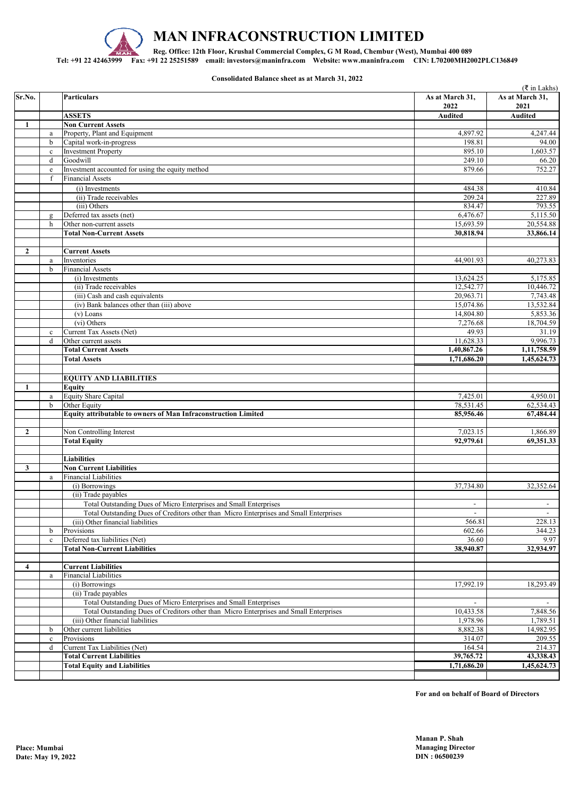

**Consolidated Balance sheet as at March 31, 2022**

|                |                         |                                                                                        |                 | ( ₹ in Lakhs)            |
|----------------|-------------------------|----------------------------------------------------------------------------------------|-----------------|--------------------------|
| Sr.No.         |                         | <b>Particulars</b>                                                                     | As at March 31, | As at March 31,          |
|                |                         |                                                                                        | 2022            | 2021                     |
|                |                         | <b>ASSETS</b>                                                                          | <b>Audited</b>  | <b>Audited</b>           |
| 1              |                         | <b>Non Current Assets</b>                                                              |                 |                          |
|                | $\mathbf{a}$            | Property, Plant and Equipment                                                          | 4.897.92        | 4,247.44                 |
|                | $\mathbf b$             | Capital work-in-progress                                                               | 198.81          | 94.00                    |
|                | $\mathbf c$             | <b>Investment Property</b>                                                             | 895.10          | 1,603.57                 |
|                | $\mathbf d$             | Goodwill                                                                               | 249.10          | 66.20                    |
|                | $\mathbf{e}$            | Investment accounted for using the equity method                                       | 879.66          | 752.27                   |
|                | f                       | <b>Financial Assets</b>                                                                |                 |                          |
|                |                         | (i) Investments                                                                        | 484.38          | 410.84                   |
|                |                         | (ii) Trade receivables                                                                 | 209.24          | 227.89                   |
|                |                         | (iii) Others                                                                           | 834.47          | 793.55                   |
|                | $\mathbf{g}$            | Deferred tax assets (net)                                                              | 6,476.67        | 5,115.50                 |
|                | h                       | Other non-current assets                                                               | 15,693.59       | 20,554.88                |
|                |                         | <b>Total Non-Current Assets</b>                                                        | 30,818.94       | 33,866.14                |
|                |                         |                                                                                        |                 |                          |
| $\mathbf{2}$   |                         |                                                                                        |                 |                          |
|                |                         | <b>Current Assets</b>                                                                  |                 |                          |
|                | a<br>$\mathbf b$        | Inventories                                                                            | 44,901.93       | 40,273.83                |
|                |                         | <b>Financial Assets</b>                                                                |                 |                          |
|                |                         | (i) Investments                                                                        | 13,624.25       | 5,175.85                 |
|                |                         | (ii) Trade receivables                                                                 | 12,542.77       | 10,446.72                |
|                |                         | (iii) Cash and cash equivalents                                                        | 20,963.71       | 7,743.48                 |
|                |                         | (iv) Bank balances other than (iii) above                                              | 15,074.86       | 13,532.84                |
|                |                         | $(v)$ Loans                                                                            | 14,804.80       | 5,853.36                 |
|                |                         | (vi) Others                                                                            | 7,276.68        | 18,704.59                |
|                | $\mathbf{c}$            | Current Tax Assets (Net)                                                               | 49.93           | 31.19                    |
|                | $\mathbf d$             | Other current assets                                                                   | 11,628.33       | 9,996.73                 |
|                |                         | <b>Total Current Assets</b>                                                            | 1,40,867.26     | 1,11,758.59              |
|                |                         | <b>Total Assets</b>                                                                    | 1,71,686.20     | 1,45,624.73              |
|                |                         |                                                                                        |                 |                          |
|                |                         | <b>EQUITY AND LIABILITIES</b>                                                          |                 |                          |
| 1              |                         | <b>Equity</b>                                                                          |                 |                          |
|                |                         |                                                                                        | 7,425.01        | 4,950.01                 |
|                | $\rm{a}$<br>$\mathbf b$ | <b>Equity Share Capital</b><br>Other Equity                                            |                 |                          |
|                |                         |                                                                                        | 78,531.45       | 62,534.43                |
|                |                         | Equity attributable to owners of Man Infraconstruction Limited                         | 85,956.46       | 67,484.44                |
|                |                         |                                                                                        |                 |                          |
| $\overline{2}$ |                         | Non Controlling Interest                                                               | 7,023.15        | 1,866.89                 |
|                |                         | <b>Total Equity</b>                                                                    | 92,979.61       | 69,351.33                |
|                |                         |                                                                                        |                 |                          |
|                |                         | <b>Liabilities</b>                                                                     |                 |                          |
| 3              |                         | <b>Non Current Liabilities</b>                                                         |                 |                          |
|                | a                       | Financial Liabilities                                                                  |                 |                          |
|                |                         | (i) Borrowings                                                                         | 37,734.80       | 32,352.64                |
|                |                         | (ii) Trade payables                                                                    |                 |                          |
|                |                         | Total Outstanding Dues of Micro Enterprises and Small Enterprises                      | $\blacksquare$  | $\overline{\phantom{a}}$ |
|                |                         | Total Outstanding Dues of Creditors other than Micro Enterprises and Small Enterprises | $\blacksquare$  | $\sim$                   |
|                |                         | (iii) Other financial liabilities                                                      | 566.81          | 228.13                   |
|                | b                       | Provisions                                                                             | 602.66          | 344.23                   |
|                | $\mathbf c$             | Deferred tax liabilities (Net)                                                         | 36.60           | 9.97                     |
|                |                         | <b>Total Non-Current Liabilities</b>                                                   | 38,940.87       | 32,934.97                |
|                |                         |                                                                                        |                 |                          |
| 4              |                         | <b>Current Liabilities</b>                                                             |                 |                          |
|                | $\rm{a}$                | <b>Financial Liabilities</b>                                                           |                 |                          |
|                |                         | (i) Borrowings                                                                         | 17,992.19       | 18,293.49                |
|                |                         |                                                                                        |                 |                          |
|                |                         | (ii) Trade payables                                                                    |                 |                          |
|                |                         | Total Outstanding Dues of Micro Enterprises and Small Enterprises                      |                 |                          |
|                |                         | Total Outstanding Dues of Creditors other than Micro Enterprises and Small Enterprises | 10,433.58       | 7,848.56                 |
|                |                         | (iii) Other financial liabilities                                                      | 1,978.96        | 1,789.51                 |
|                | $\mathbf b$             | Other current liabilities                                                              | 8,882.38        | 14,982.95                |
|                | $\mathbf c$             | Provisions                                                                             | 314.07          | 209.55                   |
|                | $\mathbf d$             | Current Tax Liabilities (Net)                                                          | 164.54          | 214.37                   |
|                |                         | <b>Total Current Liabilities</b>                                                       | 39,765.72       | 43,338.43                |
|                |                         | <b>Total Equity and Liabilities</b>                                                    | 1,71,686.20     | 1,45,624.73              |
|                |                         |                                                                                        |                 |                          |

**For and on behalf of Board of Directors**